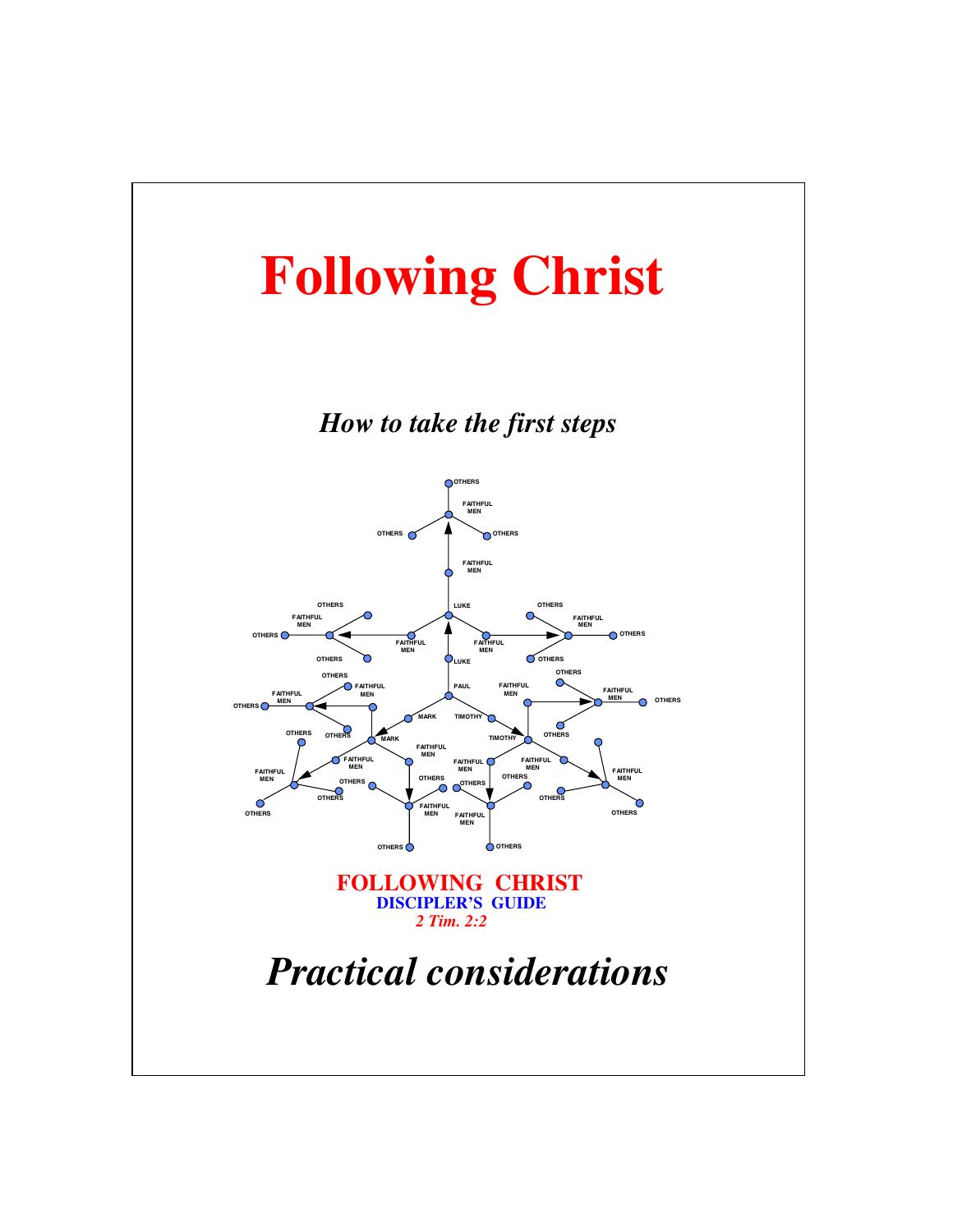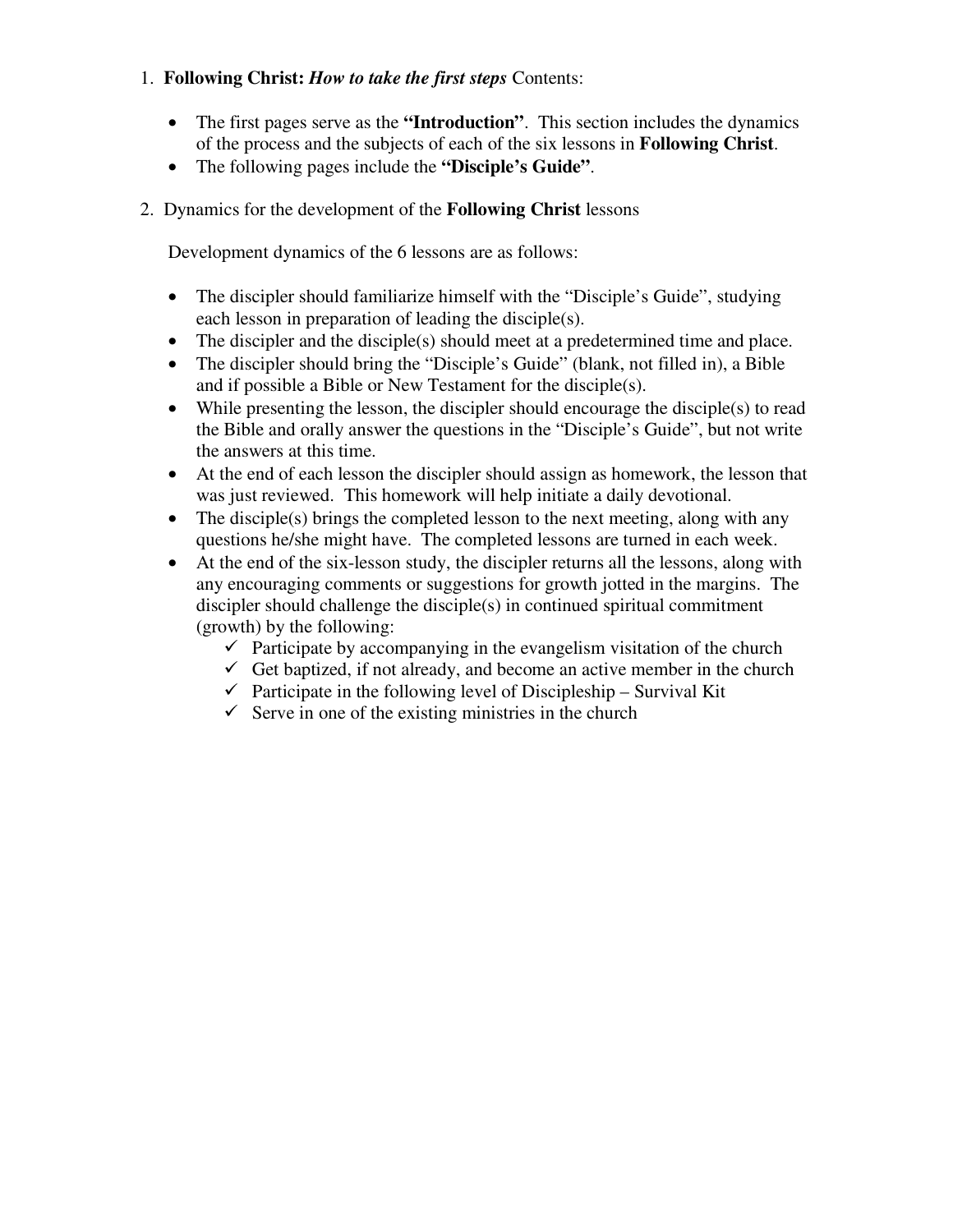### 1. **Following Christ:** *How to take the first steps* Contents:

- The first pages serve as the **"Introduction"**. This section includes the dynamics of the process and the subjects of each of the six lessons in **Following Christ**.
- The following pages include the **"Disciple's Guide"**.

### 2. Dynamics for the development of the **Following Christ** lessons

Development dynamics of the 6 lessons are as follows:

- The discipler should familiarize himself with the "Disciple's Guide", studying each lesson in preparation of leading the disciple(s).
- The discipler and the disciple(s) should meet at a predetermined time and place.
- The discipler should bring the "Disciple's Guide" (blank, not filled in), a Bible and if possible a Bible or New Testament for the disciple(s).
- While presenting the lesson, the discipler should encourage the disciple(s) to read the Bible and orally answer the questions in the "Disciple's Guide", but not write the answers at this time.
- At the end of each lesson the discipler should assign as homework, the lesson that was just reviewed. This homework will help initiate a daily devotional.
- The disciple(s) brings the completed lesson to the next meeting, along with any questions he/she might have. The completed lessons are turned in each week.
- At the end of the six-lesson study, the discipler returns all the lessons, along with any encouraging comments or suggestions for growth jotted in the margins. The discipler should challenge the disciple(s) in continued spiritual commitment (growth) by the following:
	- $\sqrt{\frac{P_{\text{participate}}}{P_{\text{participate}}}}$  by accompanying in the evangelism visitation of the church
	- Get baptized, if not already, and become an active member in the church
	- Participate in the following level of Discipleship Survival Kit
	- $\checkmark$  Serve in one of the existing ministries in the church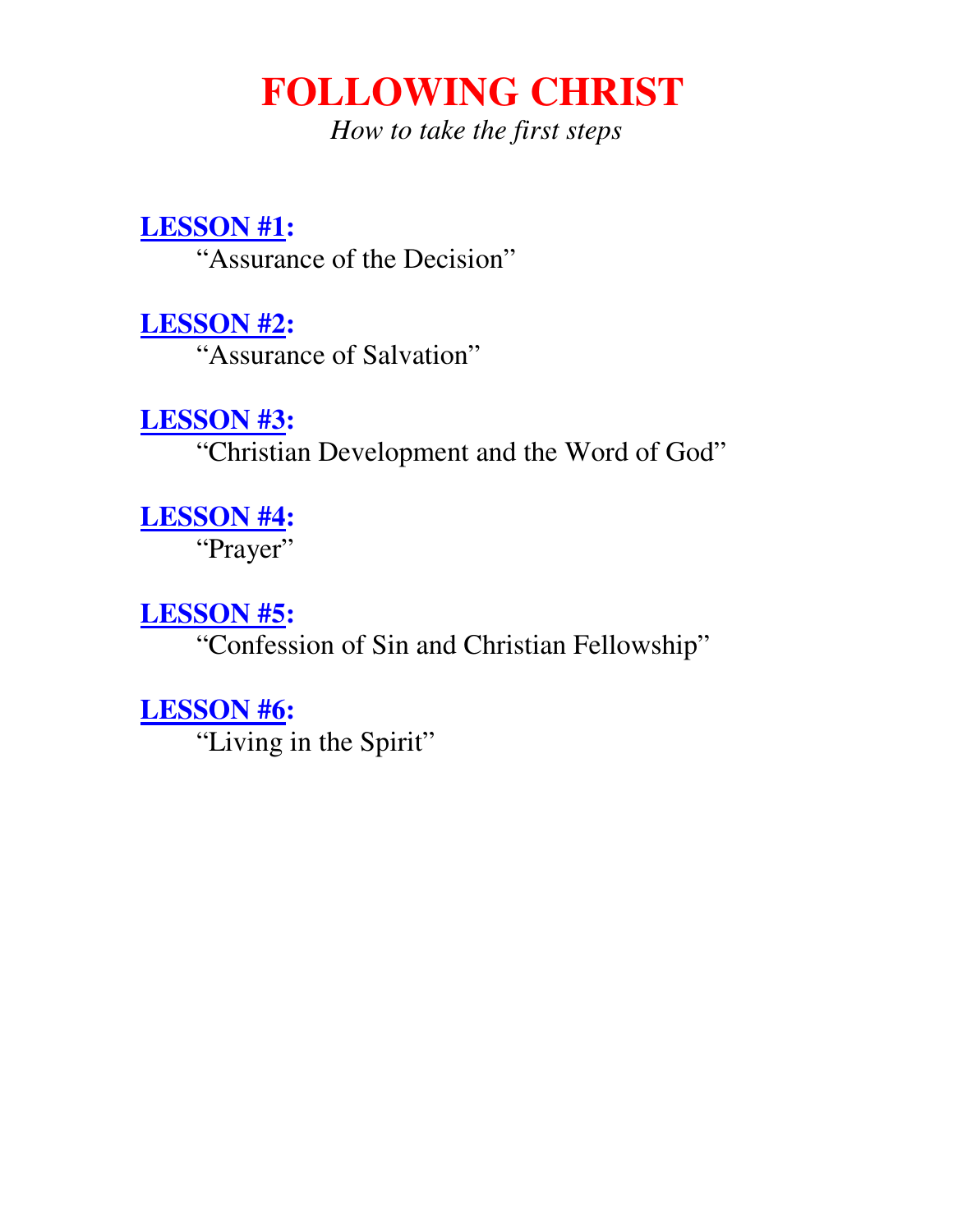*How to take the first steps*

# **LESSON #1:**

"Assurance of the Decision"

**LESSON #2:** 

"Assurance of Salvation"

# **LESSON #3:**

"Christian Development and the Word of God"

**LESSON #4:** 

"Prayer"

# **LESSON #5:**

"Confession of Sin and Christian Fellowship"

# **LESSON #6:**

"Living in the Spirit"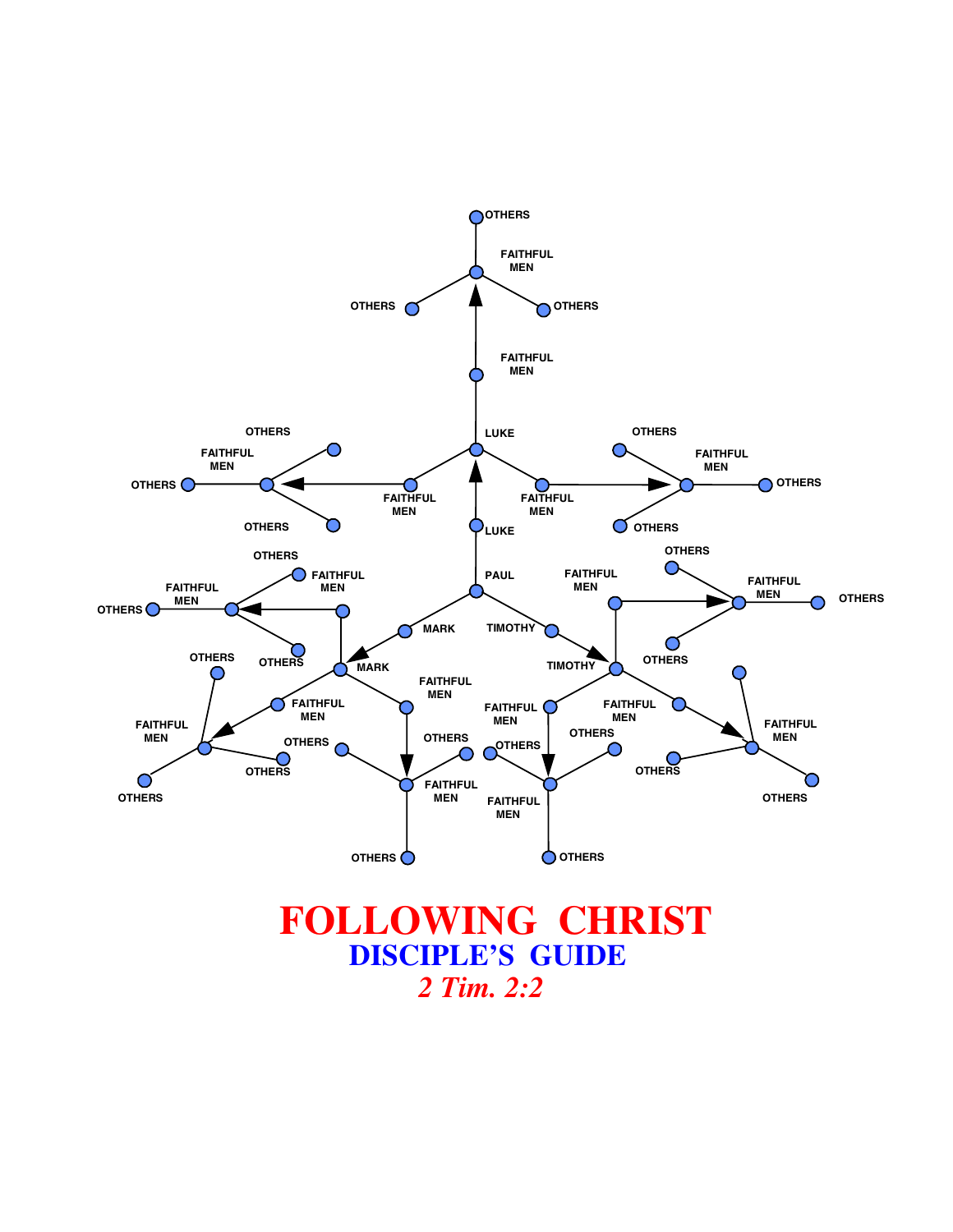

*2 Tim. 2:2*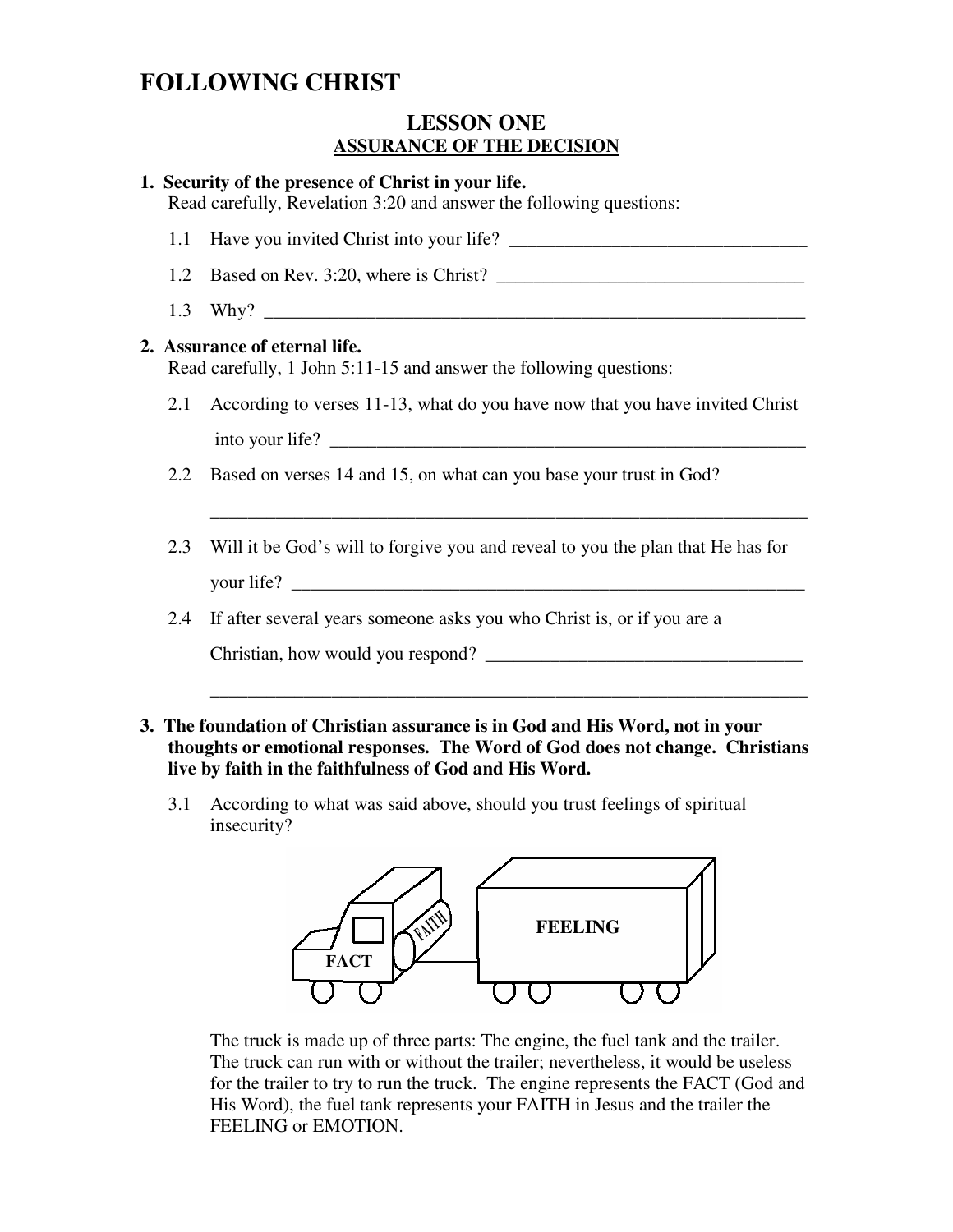### **LESSON ONE ASSURANCE OF THE DECISION**

| 1. Security of the presence of Christ in your life.<br>Read carefully, Revelation 3:20 and answer the following questions: |                                                                                  |
|----------------------------------------------------------------------------------------------------------------------------|----------------------------------------------------------------------------------|
|                                                                                                                            |                                                                                  |
| 1.2                                                                                                                        |                                                                                  |
|                                                                                                                            |                                                                                  |
| 2. Assurance of eternal life.<br>Read carefully, 1 John 5:11-15 and answer the following questions:                        |                                                                                  |
|                                                                                                                            | 2.1 According to verses 11-13, what do you have now that you have invited Christ |
|                                                                                                                            | into your life?                                                                  |
|                                                                                                                            | 2.2 Based on verses 14 and 15, on what can you base your trust in God?           |
| 2.3                                                                                                                        | Will it be God's will to forgive you and reveal to you the plan that He has for  |
| 2.4                                                                                                                        | If after several years someone asks you who Christ is, or if you are a           |
|                                                                                                                            |                                                                                  |
|                                                                                                                            |                                                                                  |

### **3. The foundation of Christian assurance is in God and His Word, not in your thoughts or emotional responses. The Word of God does not change. Christians live by faith in the faithfulness of God and His Word.**

3.1 According to what was said above, should you trust feelings of spiritual insecurity?



 The truck is made up of three parts: The engine, the fuel tank and the trailer. The truck can run with or without the trailer; nevertheless, it would be useless for the trailer to try to run the truck. The engine represents the FACT (God and His Word), the fuel tank represents your FAITH in Jesus and the trailer the FEELING or EMOTION.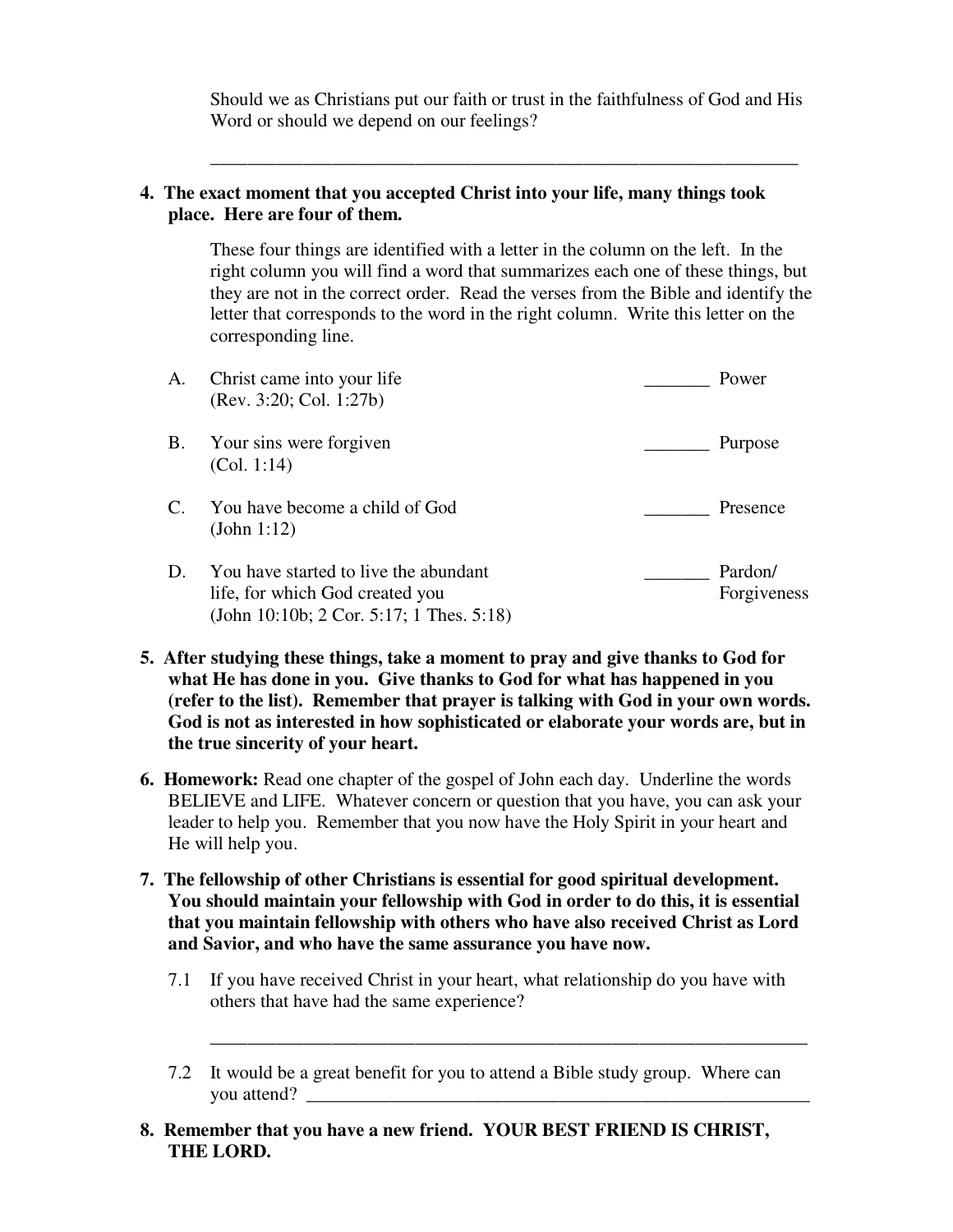Should we as Christians put our faith or trust in the faithfulness of God and His Word or should we depend on our feelings?

### **4. The exact moment that you accepted Christ into your life, many things took place. Here are four of them.**

\_\_\_\_\_\_\_\_\_\_\_\_\_\_\_\_\_\_\_\_\_\_\_\_\_\_\_\_\_\_\_\_\_\_\_\_\_\_\_\_\_\_\_\_\_\_\_\_\_\_\_\_\_\_\_\_\_\_\_\_\_\_\_

These four things are identified with a letter in the column on the left. In the right column you will find a word that summarizes each one of these things, but they are not in the correct order. Read the verses from the Bible and identify the letter that corresponds to the word in the right column. Write this letter on the corresponding line.

| A.             | Christ came into your life<br>(Rev. 3:20; Col. 1:27b)                                                                | Power                  |
|----------------|----------------------------------------------------------------------------------------------------------------------|------------------------|
| B.             | Your sins were forgiven<br>(Col. 1:14)                                                                               | Purpose                |
| $\mathbf{C}$ . | You have become a child of God<br>(John 1:12)                                                                        | Presence               |
| D.             | You have started to live the abundant<br>life, for which God created you<br>(John 10:10b; 2 Cor. 5:17; 1 Thes. 5:18) | Pardon/<br>Forgiveness |

- **5. After studying these things, take a moment to pray and give thanks to God for what He has done in you. Give thanks to God for what has happened in you (refer to the list). Remember that prayer is talking with God in your own words. God is not as interested in how sophisticated or elaborate your words are, but in the true sincerity of your heart.**
- **6. Homework:** Read one chapter of the gospel of John each day. Underline the words BELIEVE and LIFE. Whatever concern or question that you have, you can ask your leader to help you. Remember that you now have the Holy Spirit in your heart and He will help you.
- **7. The fellowship of other Christians is essential for good spiritual development. You should maintain your fellowship with God in order to do this, it is essential that you maintain fellowship with others who have also received Christ as Lord and Savior, and who have the same assurance you have now.** 
	- 7.1 If you have received Christ in your heart, what relationship do you have with others that have had the same experience?

\_\_\_\_\_\_\_\_\_\_\_\_\_\_\_\_\_\_\_\_\_\_\_\_\_\_\_\_\_\_\_\_\_\_\_\_\_\_\_\_\_\_\_\_\_\_\_\_\_\_\_\_\_\_\_\_\_\_\_\_\_\_\_\_

- 7.2 It would be a great benefit for you to attend a Bible study group. Where can you attend?
- **8. Remember that you have a new friend. YOUR BEST FRIEND IS CHRIST, THE LORD.**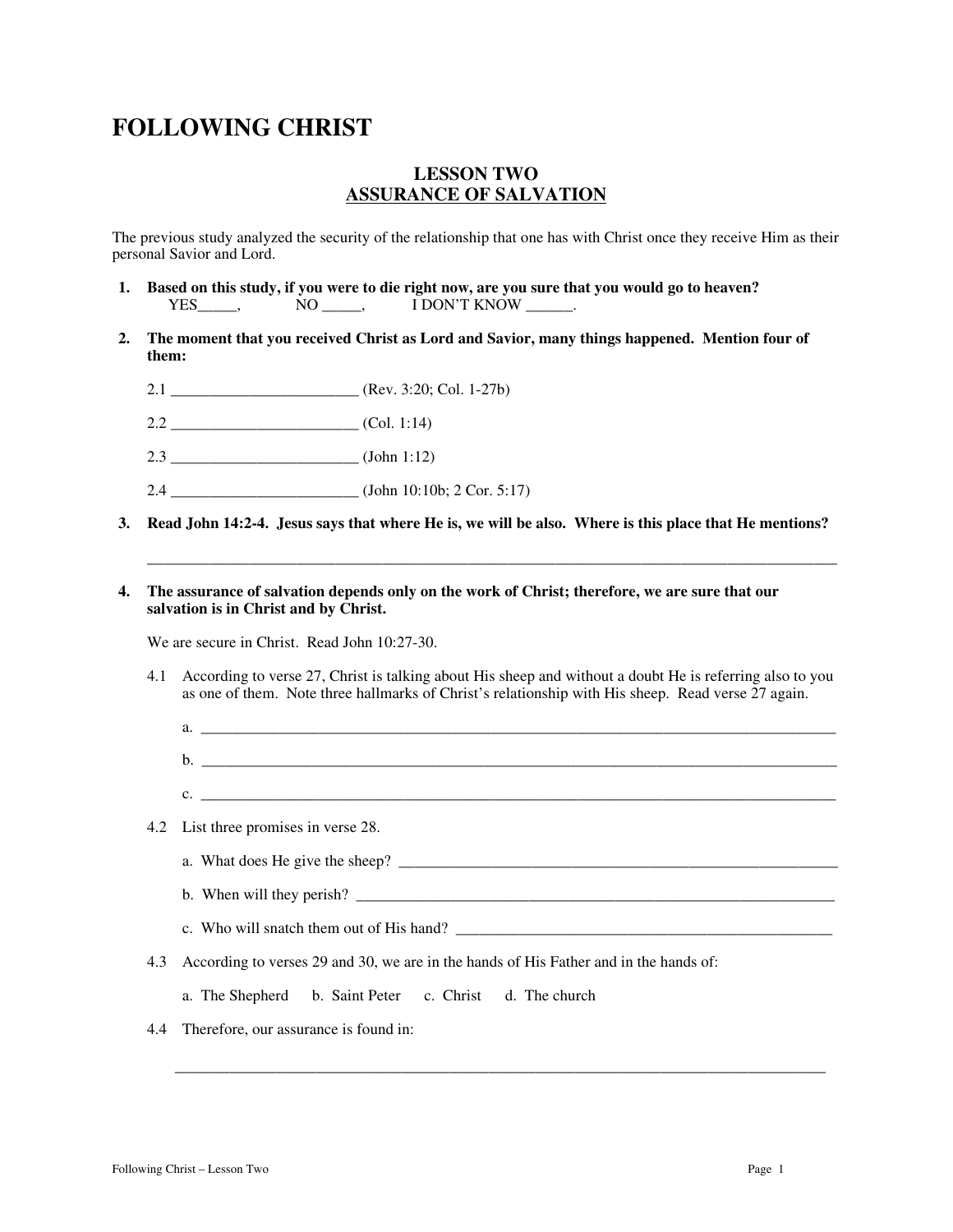#### **LESSON TWO ASSURANCE OF SALVATION**

The previous study analyzed the security of the relationship that one has with Christ once they receive Him as their personal Savior and Lord.

- **1. Based on this study, if you were to die right now, are you sure that you would go to heaven? PES\_\_\_\_\_,** NO \_\_\_\_\_, I DON'T KNOW \_\_\_\_\_\_.  $NO \_\_\_\,,$  I DON'T KNOW  $\_\_\_\,.$
- **2. The moment that you received Christ as Lord and Savior, many things happened. Mention four of them:** 
	- 2.1  $(Rev. 3:20; Col. 1-27b)$
	- $2.2$  (Col. 1:14)
	- 2.3 \_\_\_\_\_\_\_\_\_\_\_\_\_\_\_\_\_\_\_\_\_\_\_\_ (John 1:12)
	- 2.4 \_\_\_\_\_\_\_\_\_\_\_\_\_\_\_\_\_\_\_\_\_\_\_\_ (John 10:10b; 2 Cor. 5:17)
- **3. Read John 14:2-4. Jesus says that where He is, we will be also. Where is this place that He mentions?**

**\_\_\_\_\_\_\_\_\_\_\_\_\_\_\_\_\_\_\_\_\_\_\_\_\_\_\_\_\_\_\_\_\_\_\_\_\_\_\_\_\_\_\_\_\_\_\_\_\_\_\_\_\_\_\_\_\_\_\_\_\_\_\_\_\_\_\_\_\_\_\_\_\_\_\_\_\_\_\_\_\_\_\_\_\_\_\_\_** 

#### **4. The assurance of salvation depends only on the work of Christ; therefore, we are sure that our salvation is in Christ and by Christ.**

We are secure in Christ. Read John 10:27-30.

- 4.1 According to verse 27, Christ is talking about His sheep and without a doubt He is referring also to you as one of them. Note three hallmarks of Christ's relationship with His sheep. Read verse 27 again.
	- $a.$ b. \_\_\_\_\_\_\_\_\_\_\_\_\_\_\_\_\_\_\_\_\_\_\_\_\_\_\_\_\_\_\_\_\_\_\_\_\_\_\_\_\_\_\_\_\_\_\_\_\_\_\_\_\_\_\_\_\_\_\_\_\_\_\_\_\_\_\_\_\_\_\_\_\_\_\_\_\_\_\_\_\_
	- c.  $\frac{1}{2}$   $\frac{1}{2}$   $\frac{1}{2}$   $\frac{1}{2}$   $\frac{1}{2}$   $\frac{1}{2}$   $\frac{1}{2}$   $\frac{1}{2}$   $\frac{1}{2}$   $\frac{1}{2}$   $\frac{1}{2}$   $\frac{1}{2}$   $\frac{1}{2}$   $\frac{1}{2}$   $\frac{1}{2}$   $\frac{1}{2}$   $\frac{1}{2}$   $\frac{1}{2}$   $\frac{1}{2}$   $\frac{1}{2}$   $\frac{1}{2}$   $\frac{1}{2}$
- 4.2 List three promises in verse 28.
	- a. What does He give the sheep? \_\_\_\_\_\_\_\_\_\_\_\_\_\_\_\_\_\_\_\_\_\_\_\_\_\_\_\_\_\_\_\_\_\_\_\_\_\_\_\_\_\_\_\_\_\_\_\_\_\_\_\_\_\_\_\_
	- b. When will they perish?
	- c. Who will snatch them out of His hand?
- 4.3 According to verses 29 and 30, we are in the hands of His Father and in the hands of:

 $\mathcal{L}_\text{max}$  , and the contribution of the contribution of the contribution of the contribution of the contribution of the contribution of the contribution of the contribution of the contribution of the contribution of t

- a. The Shepherd b. Saint Peter c. Christ d. The church
- 4.4 Therefore, our assurance is found in: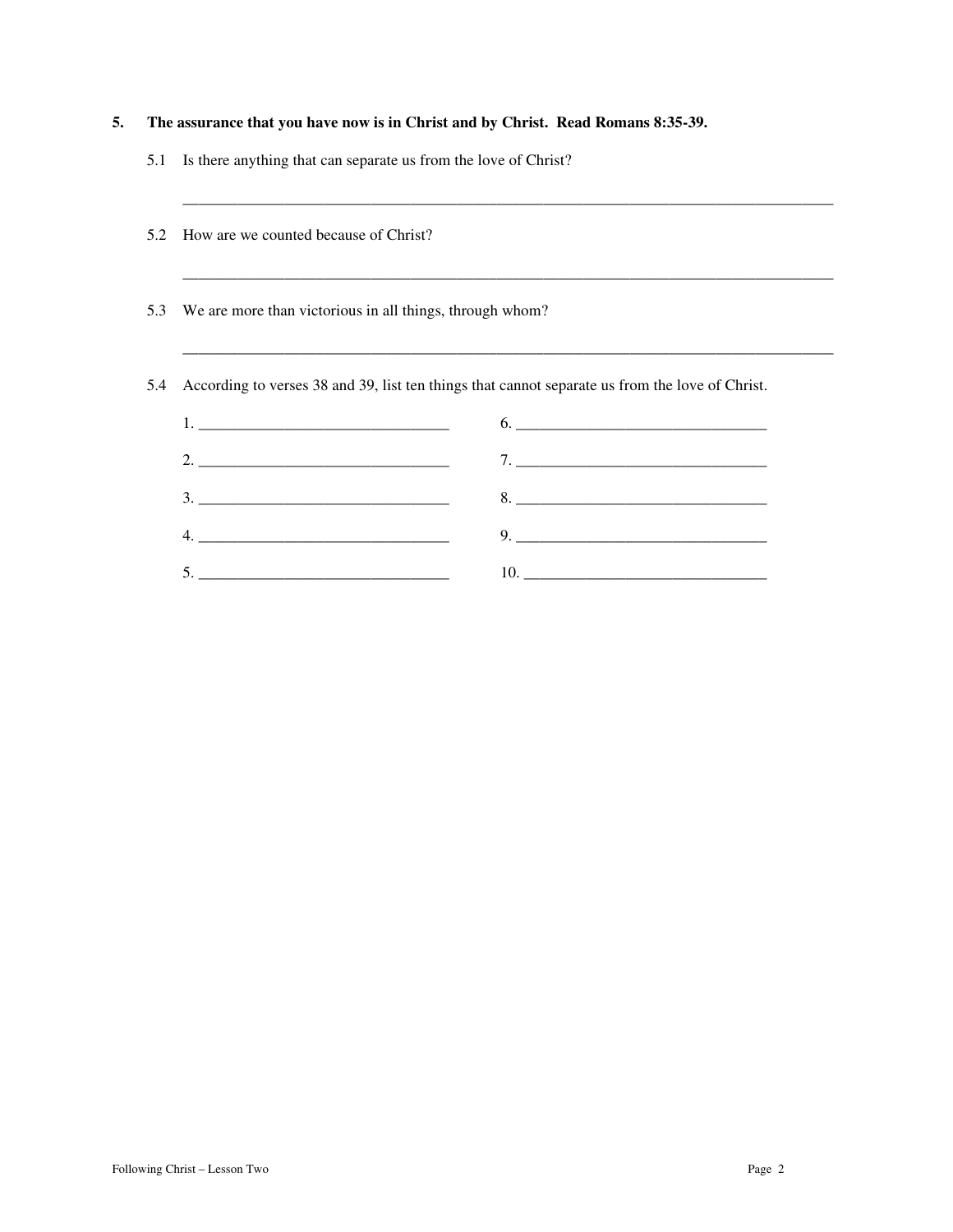| 5. | The assurance that you have now is in Christ and by Christ. Read Romans 8:35-39. |  |
|----|----------------------------------------------------------------------------------|--|
|    |                                                                                  |  |

5.1 Is there anything that can separate us from the love of Christ?

| How are we counted because of Christ?                                                           |                                                   |  |
|-------------------------------------------------------------------------------------------------|---------------------------------------------------|--|
| We are more than victorious in all things, through whom?                                        |                                                   |  |
| According to verses 38 and 39, list ten things that cannot separate us from the love of Christ. |                                                   |  |
|                                                                                                 | 6.                                                |  |
| 2.                                                                                              |                                                   |  |
|                                                                                                 | $8. \begin{tabular}{l} \textbf{8.} \end{tabular}$ |  |
| 4.                                                                                              |                                                   |  |
|                                                                                                 | 5.<br>10.                                         |  |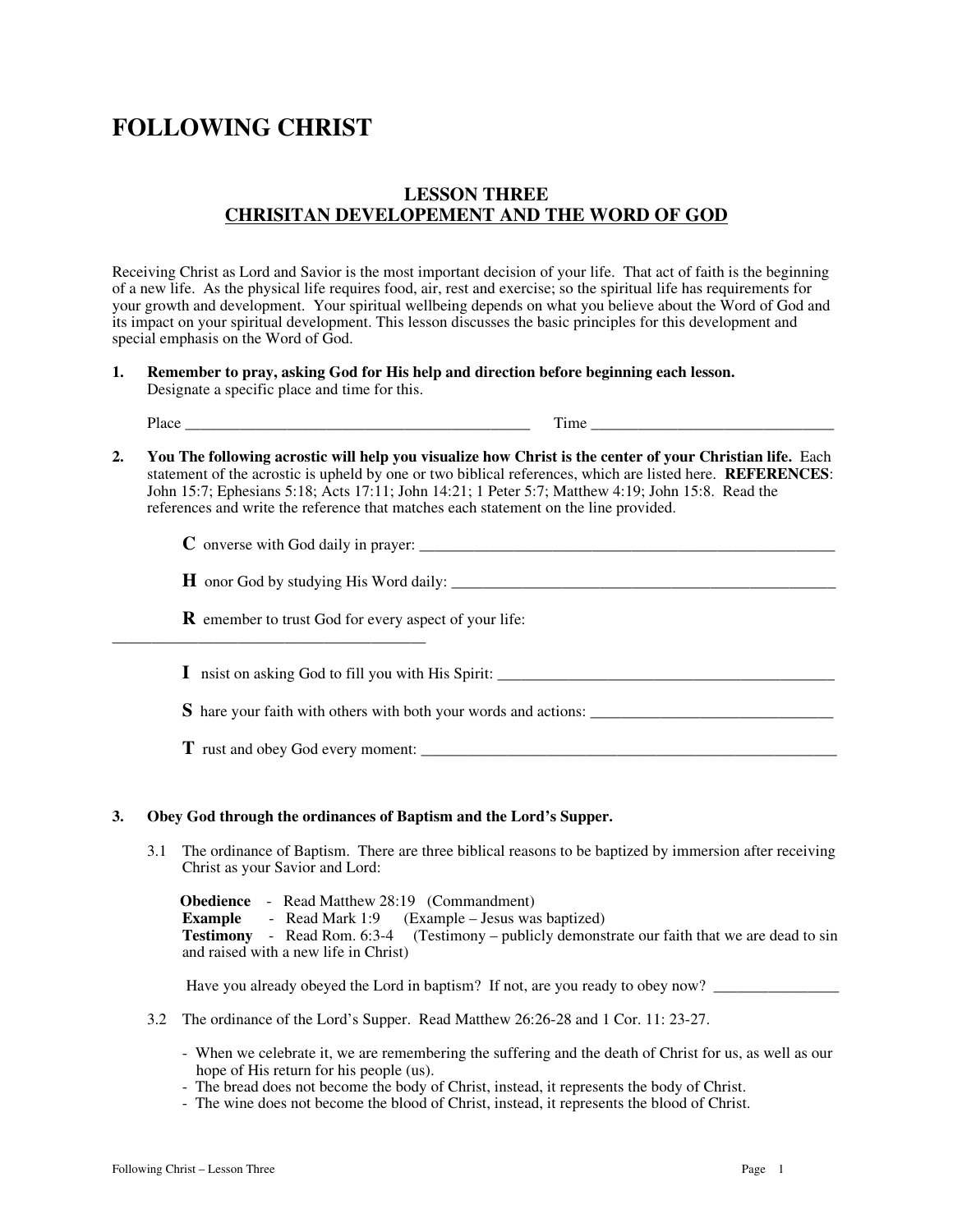### **LESSON THREE CHRISITAN DEVELOPEMENT AND THE WORD OF GOD**

Receiving Christ as Lord and Savior is the most important decision of your life. That act of faith is the beginning of a new life. As the physical life requires food, air, rest and exercise; so the spiritual life has requirements for your growth and development. Your spiritual wellbeing depends on what you believe about the Word of God and its impact on your spiritual development. This lesson discusses the basic principles for this development and special emphasis on the Word of God.

**1. Remember to pray, asking God for His help and direction before beginning each lesson.** Designate a specific place and time for this.

| ורז<br>- 21 | m<br><br>- |
|-------------|------------|
|             |            |

**2. You The following acrostic will help you visualize how Christ is the center of your Christian life.** Each statement of the acrostic is upheld by one or two biblical references, which are listed here. **REFERENCES**: John 15:7; Ephesians 5:18; Acts 17:11; John 14:21; 1 Peter 5:7; Matthew 4:19; John 15:8. Read the references and write the reference that matches each statement on the line provided.

| $\blacksquare$ . The contract of the contract of the contract of the contract of the contract of the contract of the contract of the contract of the contract of the contract of the contract of the contract of the contract of the<br>or<br>⊿Ve*<br>I VAT<br>r( ) (<br>m<br>W<br>50.<br>.<br>the contract of the contract of |  |
|--------------------------------------------------------------------------------------------------------------------------------------------------------------------------------------------------------------------------------------------------------------------------------------------------------------------------------|--|
|--------------------------------------------------------------------------------------------------------------------------------------------------------------------------------------------------------------------------------------------------------------------------------------------------------------------------------|--|

| l onor God by studving His Word daily: |  |
|----------------------------------------|--|
|----------------------------------------|--|

**R** emember to trust God for every aspect of your life:

 $\bf{I}$  nsist on asking God to fill you with His Spirit:

**S** hare your faith with others with both your words and actions: \_\_\_\_\_\_\_\_\_\_\_\_\_\_\_\_\_\_\_\_\_\_\_\_\_\_\_\_\_\_\_

**T** rust and obey God every moment:

\_\_\_\_\_\_\_\_\_\_\_\_\_\_\_\_\_\_\_\_\_\_\_\_\_\_\_\_\_\_\_\_\_\_\_\_\_\_\_\_

#### **3. Obey God through the ordinances of Baptism and the Lord's Supper.**

3.1 The ordinance of Baptism. There are three biblical reasons to be baptized by immersion after receiving Christ as your Savior and Lord:

 **Obedience** - Read Matthew 28:19 (Commandment) **Example** - Read Mark 1:9 (Example – Jesus was baptized) **Testimony** - Read Rom. 6:3-4 (Testimony – publicly demonstrate our faith that we are dead to sin and raised with a new life in Christ)

Have you already obeyed the Lord in baptism? If not, are you ready to obey now?

- 3.2 The ordinance of the Lord's Supper. Read Matthew 26:26-28 and 1 Cor. 11: 23-27.
	- When we celebrate it, we are remembering the suffering and the death of Christ for us, as well as our hope of His return for his people (us).
	- The bread does not become the body of Christ, instead, it represents the body of Christ.
	- The wine does not become the blood of Christ, instead, it represents the blood of Christ.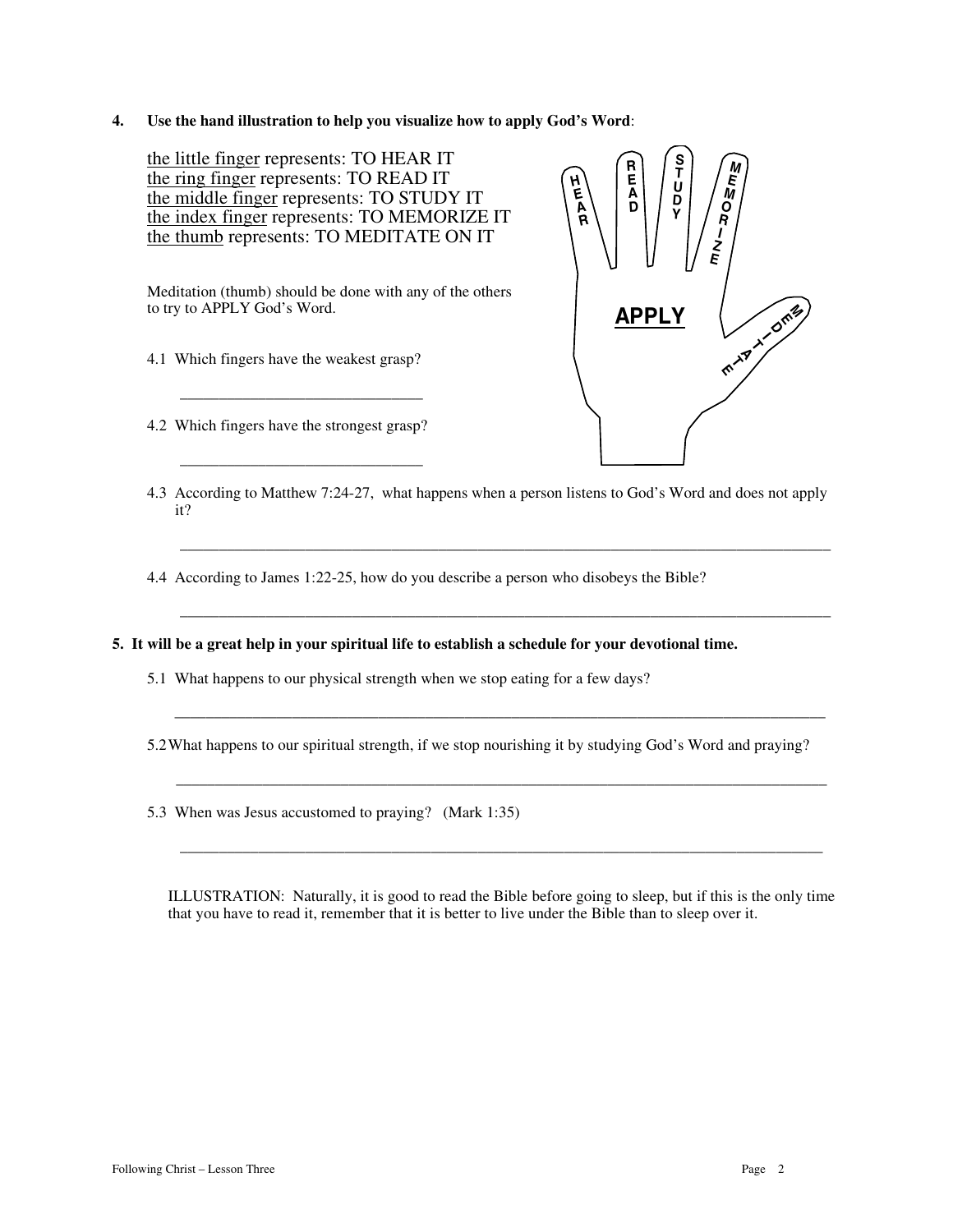**4. Use the hand illustration to help you visualize how to apply God's Word**:

the little finger represents: TO HEAR IT the ring finger represents: TO READ IT the middle finger represents: TO STUDY IT the index finger represents: TO MEMORIZE IT the thumb represents: TO MEDITATE ON IT

Meditation (thumb) should be done with any of the others to try to APPLY God's Word.

- 4.1 Which fingers have the weakest grasp?
- 4.2 Which fingers have the strongest grasp?

\_\_\_\_\_\_\_\_\_\_\_\_\_\_\_\_\_\_\_\_\_\_\_\_\_\_\_\_\_\_\_

 $\frac{1}{2}$  , and the set of the set of the set of the set of the set of the set of the set of the set of the set of the set of the set of the set of the set of the set of the set of the set of the set of the set of the set



4.3 According to Matthew 7:24-27, what happens when a person listens to God's Word and does not apply it?

\_\_\_\_\_\_\_\_\_\_\_\_\_\_\_\_\_\_\_\_\_\_\_\_\_\_\_\_\_\_\_\_\_\_\_\_\_\_\_\_\_\_\_\_\_\_\_\_\_\_\_\_\_\_\_\_\_\_\_\_\_\_\_\_\_\_\_\_\_\_\_\_\_\_\_\_\_\_\_\_\_\_\_

\_\_\_\_\_\_\_\_\_\_\_\_\_\_\_\_\_\_\_\_\_\_\_\_\_\_\_\_\_\_\_\_\_\_\_\_\_\_\_\_\_\_\_\_\_\_\_\_\_\_\_\_\_\_\_\_\_\_\_\_\_\_\_\_\_\_\_\_\_\_\_\_\_\_\_\_\_\_\_\_\_\_\_

4.4 According to James 1:22-25, how do you describe a person who disobeys the Bible?

**5. It will be a great help in your spiritual life to establish a schedule for your devotional time.**

5.1 What happens to our physical strength when we stop eating for a few days?

5.2What happens to our spiritual strength, if we stop nourishing it by studying God's Word and praying?

 $\bar{a}$  , and the contribution of the contribution of the contribution of the contribution of the contribution of the contribution of the contribution of the contribution of the contribution of the contribution of the con

\_\_\_\_\_\_\_\_\_\_\_\_\_\_\_\_\_\_\_\_\_\_\_\_\_\_\_\_\_\_\_\_\_\_\_\_\_\_\_\_\_\_\_\_\_\_\_\_\_\_\_\_\_\_\_\_\_\_\_\_\_\_\_\_\_\_\_\_\_\_\_\_\_\_\_\_\_\_\_\_\_\_\_

\_\_\_\_\_\_\_\_\_\_\_\_\_\_\_\_\_\_\_\_\_\_\_\_\_\_\_\_\_\_\_\_\_\_\_\_\_\_\_\_\_\_\_\_\_\_\_\_\_\_\_\_\_\_\_\_\_\_\_\_\_\_\_\_\_\_\_\_\_\_\_\_\_\_\_\_\_\_\_\_\_\_

5.3 When was Jesus accustomed to praying? (Mark 1:35)

ILLUSTRATION: Naturally, it is good to read the Bible before going to sleep, but if this is the only time that you have to read it, remember that it is better to live under the Bible than to sleep over it.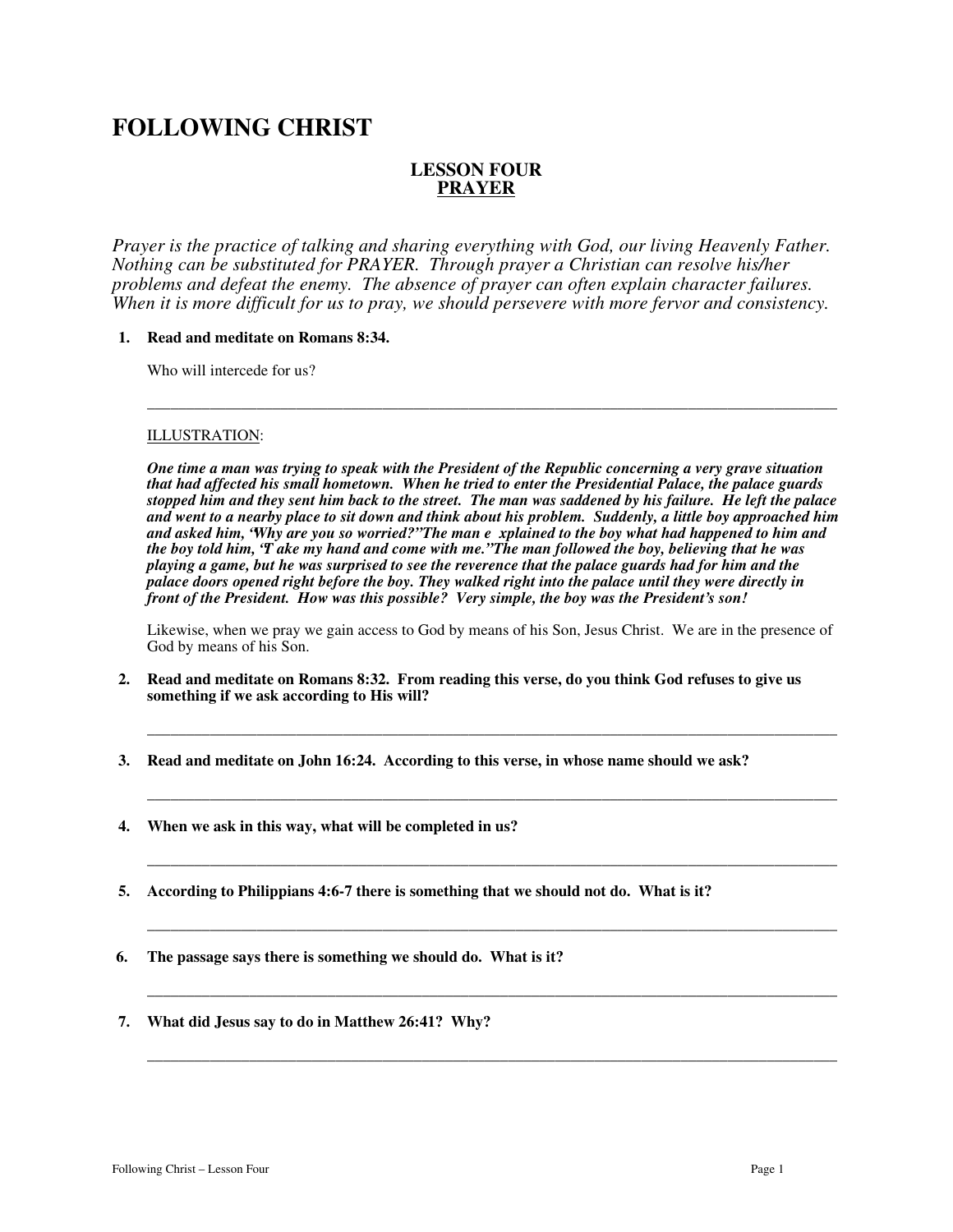#### **LESSON FOUR PRAYER**

*Prayer is the practice of talking and sharing everything with God, our living Heavenly Father. Nothing can be substituted for PRAYER. Through prayer a Christian can resolve his/her problems and defeat the enemy. The absence of prayer can often explain character failures. When it is more difficult for us to pray, we should persevere with more fervor and consistency.* 

#### **1. Read and meditate on Romans 8:34.**

Who will intercede for us?

#### ILLUSTRATION:

*One time a man was trying to speak with the President of the Republic concerning a very grave situation that had affected his small hometown. When he tried to enter the Presidential Palace, the palace guards stopped him and they sent him back to the street. The man was saddened by his failure. He left the palace and went to a nearby place to sit down and think about his problem. Suddenly, a little boy approached him and asked him, "Why are you so worried?" The man e xplained to the boy what had happened to him and the boy told him, "T ake my hand and come with me." The man followed the boy, believing that he was playing a game, but he was surprised to see the reverence that the palace guards had for him and the palace doors opened right before the boy. They walked right into the palace until they were directly in front of the President. How was this possible? Very simple, the boy was the President's son!* 

\_\_\_\_\_\_\_\_\_\_\_\_\_\_\_\_\_\_\_\_\_\_\_\_\_\_\_\_\_\_\_\_\_\_\_\_\_\_\_\_\_\_\_\_\_\_\_\_\_\_\_\_\_\_\_\_\_\_\_\_\_\_\_\_\_\_\_\_\_\_\_\_\_\_\_\_\_\_\_\_\_\_\_\_\_\_\_\_

Likewise, when we pray we gain access to God by means of his Son, Jesus Christ. We are in the presence of God by means of his Son.

\_\_\_\_\_\_\_\_\_\_\_\_\_\_\_\_\_\_\_\_\_\_\_\_\_\_\_\_\_\_\_\_\_\_\_\_\_\_\_\_\_\_\_\_\_\_\_\_\_\_\_\_\_\_\_\_\_\_\_\_\_\_\_\_\_\_\_\_\_\_\_\_\_\_\_\_\_\_\_\_\_\_\_\_\_\_\_\_

\_\_\_\_\_\_\_\_\_\_\_\_\_\_\_\_\_\_\_\_\_\_\_\_\_\_\_\_\_\_\_\_\_\_\_\_\_\_\_\_\_\_\_\_\_\_\_\_\_\_\_\_\_\_\_\_\_\_\_\_\_\_\_\_\_\_\_\_\_\_\_\_\_\_\_\_\_\_\_\_\_\_\_\_\_\_\_\_

\_\_\_\_\_\_\_\_\_\_\_\_\_\_\_\_\_\_\_\_\_\_\_\_\_\_\_\_\_\_\_\_\_\_\_\_\_\_\_\_\_\_\_\_\_\_\_\_\_\_\_\_\_\_\_\_\_\_\_\_\_\_\_\_\_\_\_\_\_\_\_\_\_\_\_\_\_\_\_\_\_\_\_\_\_\_\_\_

\_\_\_\_\_\_\_\_\_\_\_\_\_\_\_\_\_\_\_\_\_\_\_\_\_\_\_\_\_\_\_\_\_\_\_\_\_\_\_\_\_\_\_\_\_\_\_\_\_\_\_\_\_\_\_\_\_\_\_\_\_\_\_\_\_\_\_\_\_\_\_\_\_\_\_\_\_\_\_\_\_\_\_\_\_\_\_\_

\_\_\_\_\_\_\_\_\_\_\_\_\_\_\_\_\_\_\_\_\_\_\_\_\_\_\_\_\_\_\_\_\_\_\_\_\_\_\_\_\_\_\_\_\_\_\_\_\_\_\_\_\_\_\_\_\_\_\_\_\_\_\_\_\_\_\_\_\_\_\_\_\_\_\_\_\_\_\_\_\_\_\_\_\_\_\_\_

\_\_\_\_\_\_\_\_\_\_\_\_\_\_\_\_\_\_\_\_\_\_\_\_\_\_\_\_\_\_\_\_\_\_\_\_\_\_\_\_\_\_\_\_\_\_\_\_\_\_\_\_\_\_\_\_\_\_\_\_\_\_\_\_\_\_\_\_\_\_\_\_\_\_\_\_\_\_\_\_\_\_\_\_\_\_\_\_

- **2. Read and meditate on Romans 8:32. From reading this verse, do you think God refuses to give us something if we ask according to His will?**
- **3. Read and meditate on John 16:24. According to this verse, in whose name should we ask?**
- **4. When we ask in this way, what will be completed in us?**
- **5. According to Philippians 4:6-7 there is something that we should not do. What is it?**
- **6. The passage says there is something we should do. What is it?**
- **7. What did Jesus say to do in Matthew 26:41? Why?**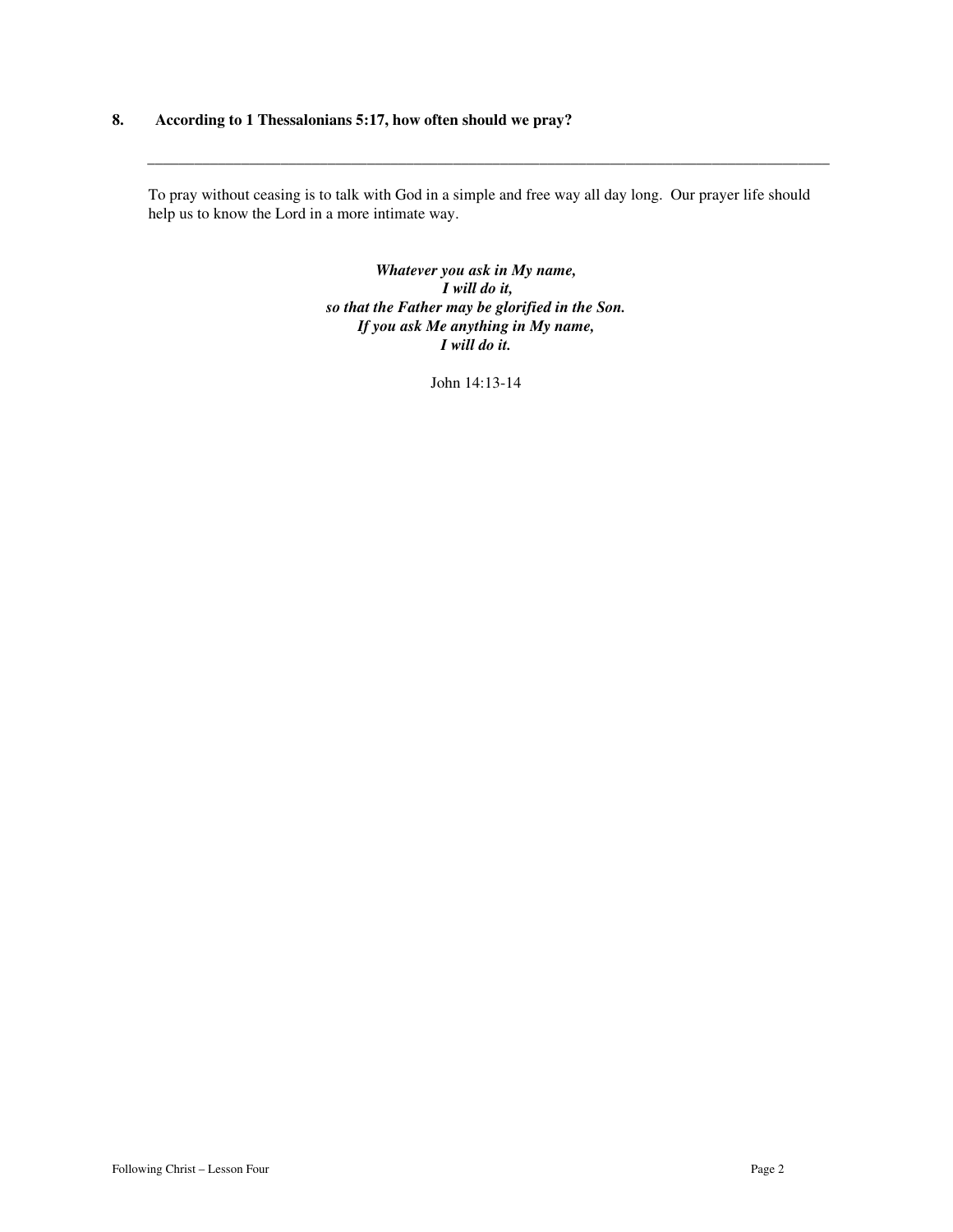#### **8. According to 1 Thessalonians 5:17, how often should we pray?**

To pray without ceasing is to talk with God in a simple and free way all day long. Our prayer life should help us to know the Lord in a more intimate way.

 $\mathcal{L}_\mathcal{L} = \{ \mathcal{L}_\mathcal{L} = \{ \mathcal{L}_\mathcal{L} = \{ \mathcal{L}_\mathcal{L} = \{ \mathcal{L}_\mathcal{L} = \{ \mathcal{L}_\mathcal{L} = \{ \mathcal{L}_\mathcal{L} = \{ \mathcal{L}_\mathcal{L} = \{ \mathcal{L}_\mathcal{L} = \{ \mathcal{L}_\mathcal{L} = \{ \mathcal{L}_\mathcal{L} = \{ \mathcal{L}_\mathcal{L} = \{ \mathcal{L}_\mathcal{L} = \{ \mathcal{L}_\mathcal{L} = \{ \mathcal{L}_\mathcal{$ 

*Whatever you ask in My name, I will do it, so that the Father may be glorified in the Son. If you ask Me anything in My name, I will do it.* 

John 14:13-14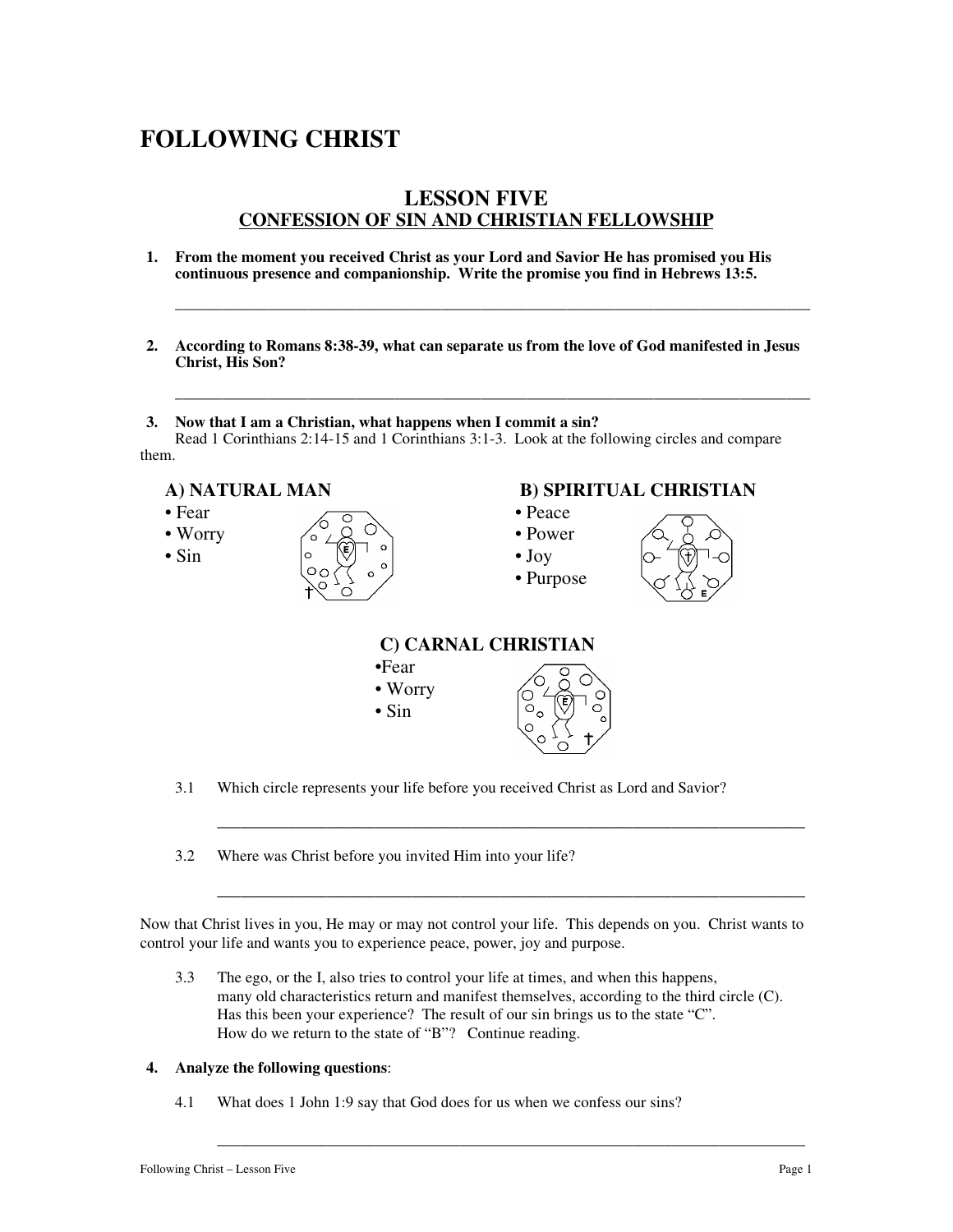### **LESSON FIVE CONFESSION OF SIN AND CHRISTIAN FELLOWSHIP**

- **1. From the moment you received Christ as your Lord and Savior He has promised you His continuous presence and companionship. Write the promise you find in Hebrews 13:5.**
- **2. According to Romans 8:38-39, what can separate us from the love of God manifested in Jesus Christ, His Son?**

\_\_\_\_\_\_\_\_\_\_\_\_\_\_\_\_\_\_\_\_\_\_\_\_\_\_\_\_\_\_\_\_\_\_\_\_\_\_\_\_\_\_\_\_\_\_\_\_\_\_\_\_\_\_\_\_\_\_\_\_\_\_\_\_\_\_\_\_\_\_\_\_\_\_\_\_\_\_\_\_\_

\_\_\_\_\_\_\_\_\_\_\_\_\_\_\_\_\_\_\_\_\_\_\_\_\_\_\_\_\_\_\_\_\_\_\_\_\_\_\_\_\_\_\_\_\_\_\_\_\_\_\_\_\_\_\_\_\_\_\_\_\_\_\_\_\_\_\_\_\_\_\_\_\_\_\_\_\_\_\_\_\_

**3. Now that I am a Christian, what happens when I commit a sin?**  Read 1 Corinthians 2:14-15 and 1 Corinthians 3:1-3. Look at the following circles and compare them.





- 3.1 Which circle represents your life before you received Christ as Lord and Savior?
- 3.2 Where was Christ before you invited Him into your life?

Now that Christ lives in you, He may or may not control your life. This depends on you. Christ wants to control your life and wants you to experience peace, power, joy and purpose.

\_\_\_\_\_\_\_\_\_\_\_\_\_\_\_\_\_\_\_\_\_\_\_\_\_\_\_\_\_\_\_\_\_\_\_\_\_\_\_\_\_\_\_\_\_\_\_\_\_\_\_\_\_\_\_\_\_\_\_\_\_\_\_\_\_\_\_\_\_\_\_\_\_\_\_

\_\_\_\_\_\_\_\_\_\_\_\_\_\_\_\_\_\_\_\_\_\_\_\_\_\_\_\_\_\_\_\_\_\_\_\_\_\_\_\_\_\_\_\_\_\_\_\_\_\_\_\_\_\_\_\_\_\_\_\_\_\_\_\_\_\_\_\_\_\_\_\_\_\_\_

\_\_\_\_\_\_\_\_\_\_\_\_\_\_\_\_\_\_\_\_\_\_\_\_\_\_\_\_\_\_\_\_\_\_\_\_\_\_\_\_\_\_\_\_\_\_\_\_\_\_\_\_\_\_\_\_\_\_\_\_\_\_\_\_\_\_\_\_\_\_\_\_\_\_\_

3.3 The ego, or the I, also tries to control your life at times, and when this happens, many old characteristics return and manifest themselves, according to the third circle (C). Has this been your experience? The result of our sin brings us to the state "C". How do we return to the state of "B"? Continue reading.

#### **4. Analyze the following questions**:

4.1 What does 1 John 1:9 say that God does for us when we confess our sins?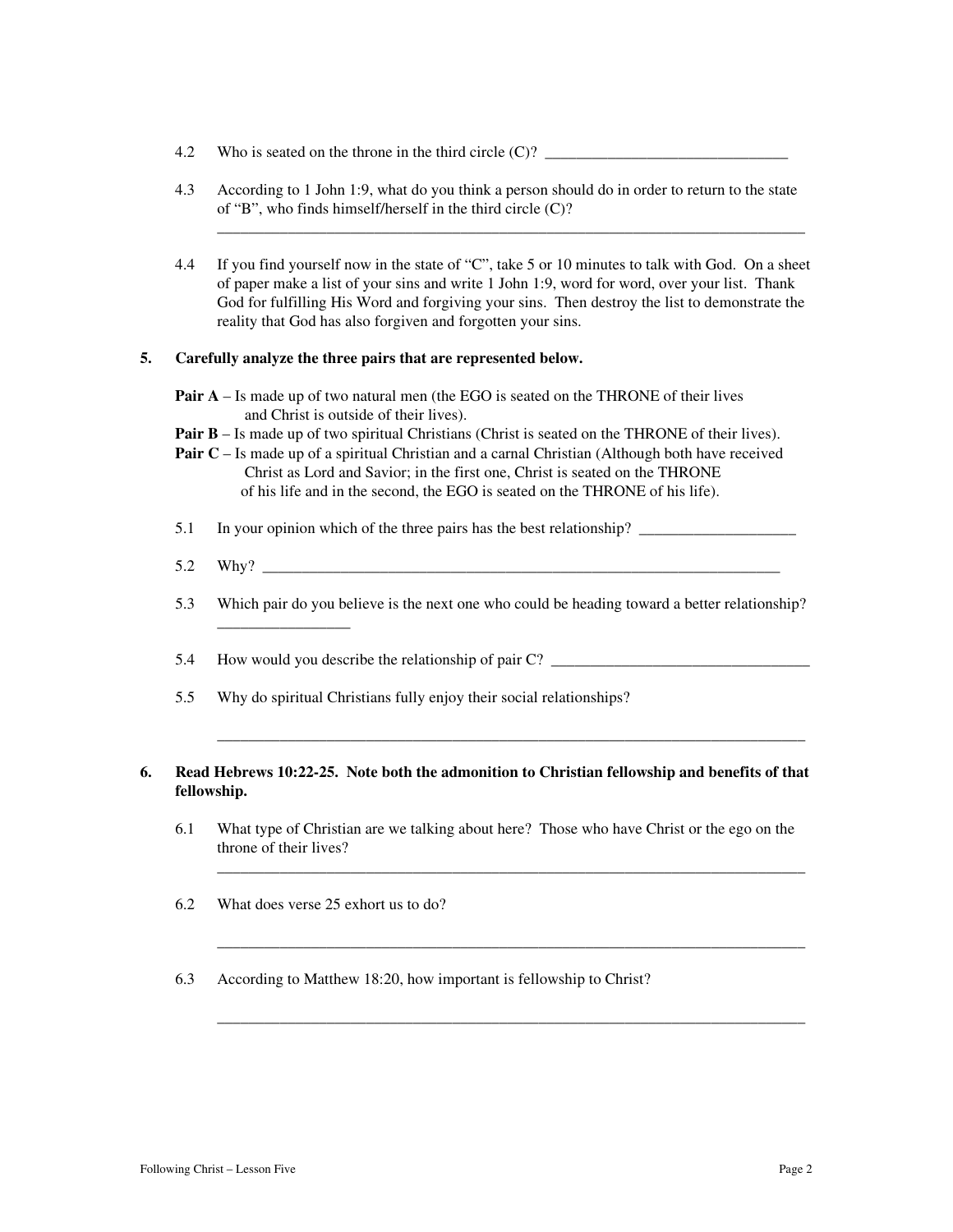- 4.2 Who is seated on the throne in the third circle  $(C)$ ?
- 4.3 According to 1 John 1:9, what do you think a person should do in order to return to the state of "B", who finds himself/herself in the third circle (C)?

\_\_\_\_\_\_\_\_\_\_\_\_\_\_\_\_\_\_\_\_\_\_\_\_\_\_\_\_\_\_\_\_\_\_\_\_\_\_\_\_\_\_\_\_\_\_\_\_\_\_\_\_\_\_\_\_\_\_\_\_\_\_\_\_\_\_\_\_\_\_\_\_\_\_\_

4.4 If you find yourself now in the state of "C", take 5 or 10 minutes to talk with God. On a sheet of paper make a list of your sins and write 1 John 1:9, word for word, over your list. Thank God for fulfilling His Word and forgiving your sins. Then destroy the list to demonstrate the reality that God has also forgiven and forgotten your sins.

#### **5. Carefully analyze the three pairs that are represented below.**

**Pair A** – Is made up of two natural men (the EGO is seated on the THRONE of their lives and Christ is outside of their lives).

- **Pair B** Is made up of two spiritual Christians (Christ is seated on the THRONE of their lives).
- **Pair C** Is made up of a spiritual Christian and a carnal Christian (Although both have received Christ as Lord and Savior; in the first one, Christ is seated on the THRONE of his life and in the second, the EGO is seated on the THRONE of his life).
- 5.1 In your opinion which of the three pairs has the best relationship?
- 5.2 Why? \_\_\_\_\_\_\_\_\_\_\_\_\_\_\_\_\_\_\_\_\_\_\_\_\_\_\_\_\_\_\_\_\_\_\_\_\_\_\_\_\_\_\_\_\_\_\_\_\_\_\_\_\_\_\_\_\_\_\_\_\_\_\_\_\_\_
- 5.3 Which pair do you believe is the next one who could be heading toward a better relationship?
- 5.4 How would you describe the relationship of pair C? \_\_\_\_\_\_\_\_\_\_\_\_\_\_\_\_\_\_\_\_\_\_\_\_\_\_\_\_\_\_\_\_\_
- 5.5 Why do spiritual Christians fully enjoy their social relationships?

#### **6. Read Hebrews 10:22-25. Note both the admonition to Christian fellowship and benefits of that fellowship.**

\_\_\_\_\_\_\_\_\_\_\_\_\_\_\_\_\_\_\_\_\_\_\_\_\_\_\_\_\_\_\_\_\_\_\_\_\_\_\_\_\_\_\_\_\_\_\_\_\_\_\_\_\_\_\_\_\_\_\_\_\_\_\_\_\_\_\_\_\_\_\_\_\_\_\_

\_\_\_\_\_\_\_\_\_\_\_\_\_\_\_\_\_\_\_\_\_\_\_\_\_\_\_\_\_\_\_\_\_\_\_\_\_\_\_\_\_\_\_\_\_\_\_\_\_\_\_\_\_\_\_\_\_\_\_\_\_\_\_\_\_\_\_\_\_\_\_\_\_\_\_

\_\_\_\_\_\_\_\_\_\_\_\_\_\_\_\_\_\_\_\_\_\_\_\_\_\_\_\_\_\_\_\_\_\_\_\_\_\_\_\_\_\_\_\_\_\_\_\_\_\_\_\_\_\_\_\_\_\_\_\_\_\_\_\_\_\_\_\_\_\_\_\_\_\_\_

\_\_\_\_\_\_\_\_\_\_\_\_\_\_\_\_\_\_\_\_\_\_\_\_\_\_\_\_\_\_\_\_\_\_\_\_\_\_\_\_\_\_\_\_\_\_\_\_\_\_\_\_\_\_\_\_\_\_\_\_\_\_\_\_\_\_\_\_\_\_\_\_\_\_\_

- 6.1 What type of Christian are we talking about here? Those who have Christ or the ego on the throne of their lives?
- 6.2 What does verse 25 exhort us to do?

\_\_\_\_\_\_\_\_\_\_\_\_\_\_\_\_\_

6.3 According to Matthew 18:20, how important is fellowship to Christ?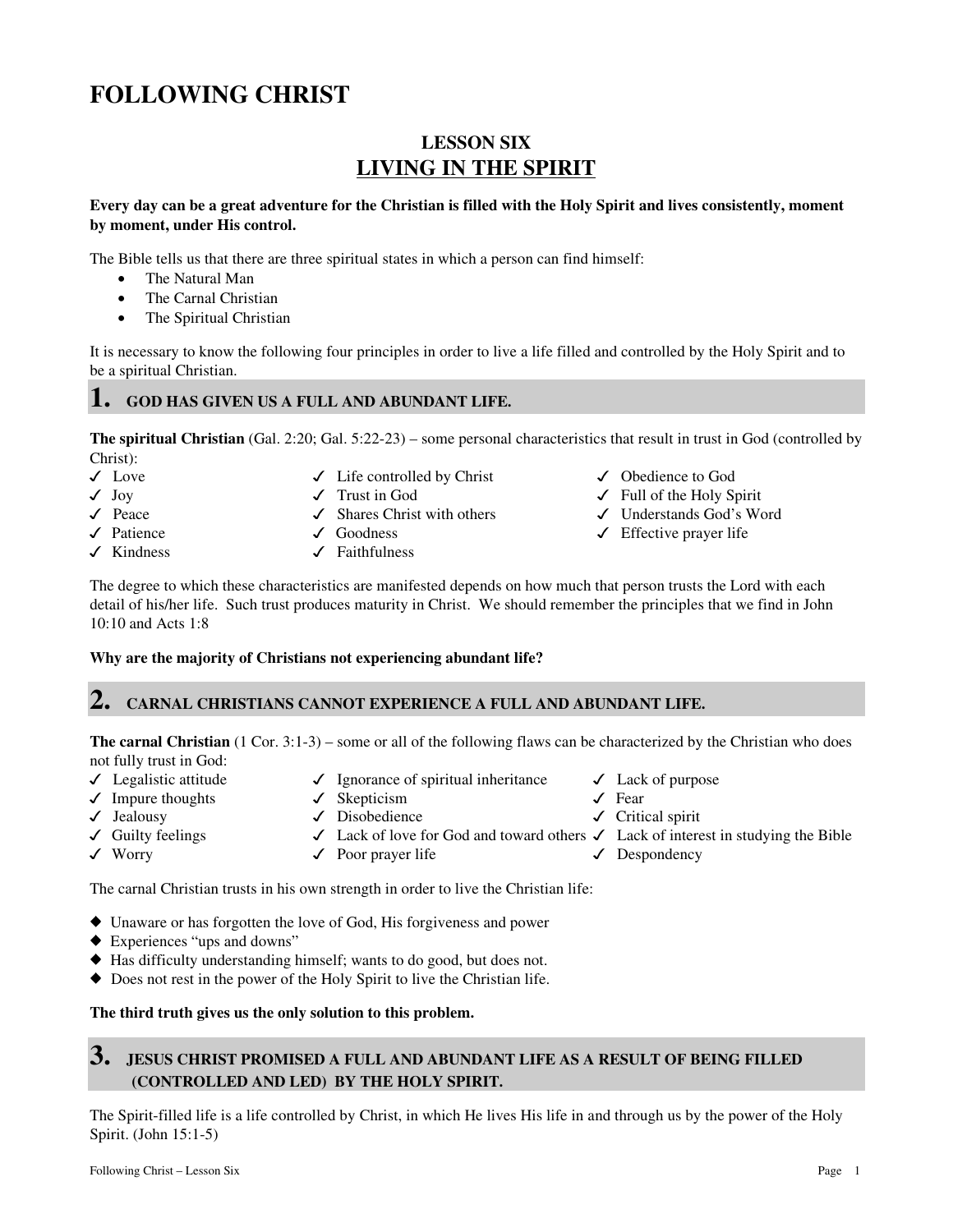# **LESSON SIX LIVING IN THE SPIRIT**

#### **Every day can be a great adventure for the Christian is filled with the Holy Spirit and lives consistently, moment by moment, under His control.**

The Bible tells us that there are three spiritual states in which a person can find himself:

- The Natural Man
- The Carnal Christian
- The Spiritual Christian

It is necessary to know the following four principles in order to live a life filled and controlled by the Holy Spirit and to be a spiritual Christian.

### **1. GOD HAS GIVEN US A FULL AND ABUNDANT LIFE.**

**The spiritual Christian** (Gal. 2:20; Gal. 5:22-23) – some personal characteristics that result in trust in God (controlled by Christ):

- 
- 
- 
- 
- 
- $\sqrt{\phantom{a}}$  Life controlled by Christ  $\sqrt{\phantom{a}}$  Obedience to God
	-
	-
	-
- $\sqrt{\phantom{a}}$ Kindness  $\sqrt{\phantom{a}}$ Faithfulness
- 
- Joy Trust in God Full of the Holy Spirit
	-
- V Peace V Shares Christ with others V Understands God's Word<br>
V Patience V Goodness V Effective prayer life  $\checkmark$  Effective prayer life

The degree to which these characteristics are manifested depends on how much that person trusts the Lord with each detail of his/her life. Such trust produces maturity in Christ. We should remember the principles that we find in John 10:10 and Acts 1:8

#### **Why are the majority of Christians not experiencing abundant life?**

### **2. CARNAL CHRISTIANS CANNOT EXPERIENCE A FULL AND ABUNDANT LIFE.**

**The carnal Christian** (1 Cor. 3:1-3) – some or all of the following flaws can be characterized by the Christian who does not fully trust in God:

- 
- $\sqrt{\phantom{0}}$  Impure thoughts  $\sqrt{\phantom{0}}$  Skepticism  $\sqrt{\phantom{0}}$  Fear
- 
- 
- $\checkmark$  Legalistic attitude  $\checkmark$  Ignorance of spiritual inheritance  $\checkmark$  Lack of purpose
	-
	-
- $\checkmark$  Guilty feelings  $\checkmark$  Lack of love for God and toward others  $\checkmark$  Lack of interest in studying the Bible
- 
- 
- $\sqrt{\ }$  Worry  $\sqrt{\ }$  Poor prayer life  $\sqrt{\ }$  Despondency

The carnal Christian trusts in his own strength in order to live the Christian life:

- Unaware or has forgotten the love of God, His forgiveness and power
- Experiences "ups and downs"
- Has difficulty understanding himself; wants to do good, but does not.
- -Does not rest in the power of the Holy Spirit to live the Christian life.

### **The third truth gives us the only solution to this problem.**

## **3. JESUS CHRIST PROMISED A FULL AND ABUNDANT LIFE AS A RESULT OF BEING FILLED (CONTROLLED AND LED) BY THE HOLY SPIRIT.**

The Spirit-filled life is a life controlled by Christ, in which He lives His life in and through us by the power of the Holy Spirit. (John 15:1-5)

- 
- 
- Jealousy Disobedience Critical spirit
	-
	-